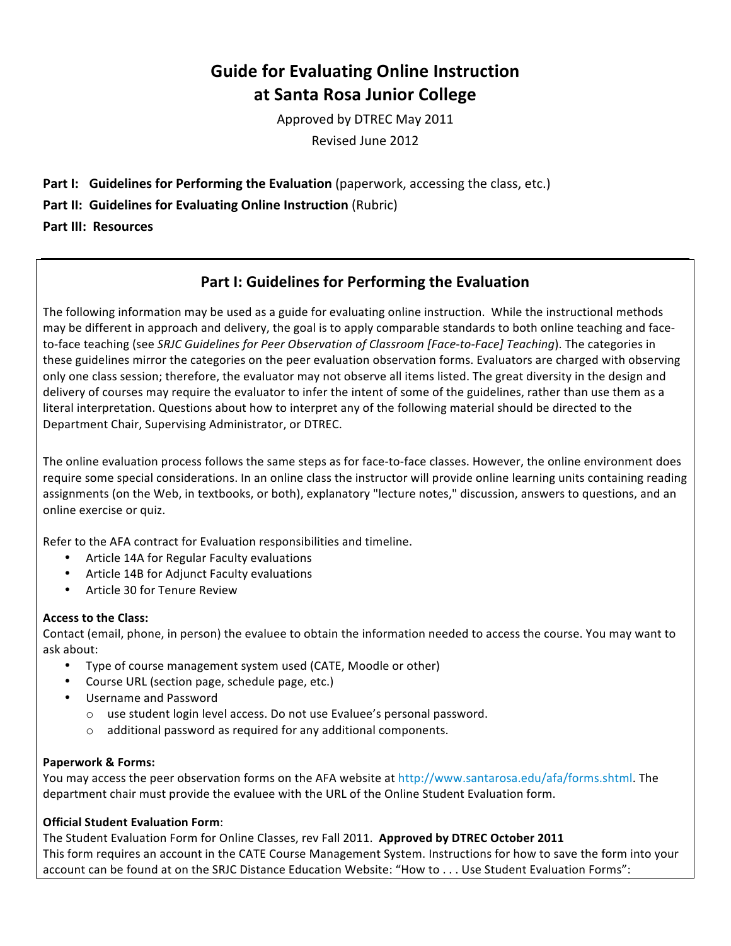## **Guide
for
Evaluating
Online
Instruction at
Santa
Rosa
Junior
College**

Approved
by
DTREC
May
2011 Revised
June
2012

- Part I: Guidelines for Performing the Evaluation (paperwork, accessing the class, etc.)
- Part II: Guidelines for Evaluating Online Instruction (Rubric)

**Part
III: Resources**

### **Part
I:
Guidelines
for
Performing
the
Evaluation**

The following information may be used as a guide for evaluating online instruction. While the instructional methods may be different in approach and delivery, the goal is to apply comparable standards to both online teaching and faceto-face teaching (see SRJC Guidelines for Peer Observation of Classroom [Face-to-Face] Teaching). The categories in these guidelines mirror the categories on the peer evaluation observation forms. Evaluators are charged with observing only one class session; therefore, the evaluator may not observe all items listed. The great diversity in the design and delivery of courses may require the evaluator to infer the intent of some of the guidelines, rather than use them as a literal interpretation. Questions about how to interpret any of the following material should be directed to the Department
Chair,
Supervising
Administrator,
or
DTREC.

The online evaluation process follows the same steps as for face-to-face classes. However, the online environment does require some special considerations. In an online class the instructor will provide online learning units containing reading assignments (on the Web, in textbooks, or both), explanatory "lecture notes," discussion, answers to questions, and an online
exercise
or
quiz.

Refer
to
the
AFA
contract
for
Evaluation
responsibilities
and
timeline.

- Article 14A for Regular Faculty evaluations
- Article 14B for Adjunct Faculty evaluations
- Article 30 for Tenure Review

#### **Access
to
the
Class:**

Contact (email, phone, in person) the evaluee to obtain the information needed to access the course. You may want to ask
about:

- Type of course management system used (CATE, Moodle or other)
- Course
URL
(section
page,
schedule
page,
etc.)
- Username
and
Password
	- o use
	student
	login
	level
	access.
	Do
	not
	use
	Evaluee's
	personal
	password.
	- o additional
	password
	as
	required
	for
	any
	additional
	components.

#### **Paperwork
&
Forms:**

You may access the peer observation forms on the AFA website at http://www.santarosa.edu/afa/forms.shtml. The department chair must provide the evaluee with the URL of the Online Student Evaluation form.

#### **Official
Student
Evaluation
Form**:

The
Student
Evaluation
Form
for
Online
Classes,
rev
Fall
2011. **Approved
by
DTREC October
2011** This form requires an account in the CATE Course Management System. Instructions for how to save the form into your account can be found at on the SRJC Distance Education Website: "How to . . . Use Student Evaluation Forms":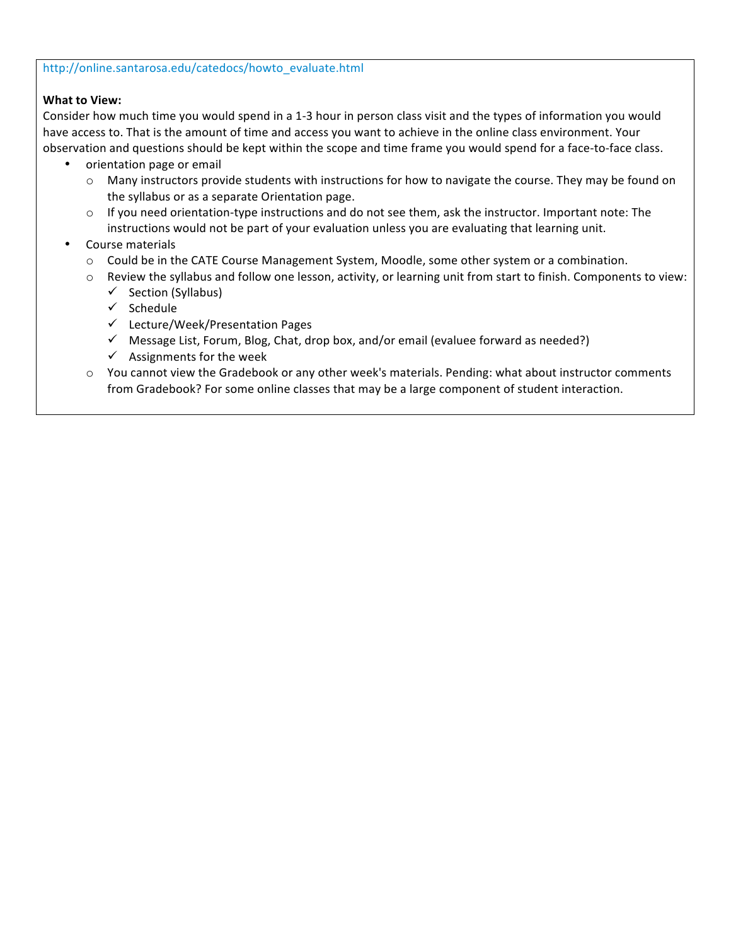#### http://online.santarosa.edu/catedocs/howto\_evaluate.html

#### **What
to
View:**

Consider how much time you would spend in a 1-3 hour in person class visit and the types of information you would have access to. That is the amount of time and access you want to achieve in the online class environment. Your observation and questions should be kept within the scope and time frame you would spend for a face-to-face class.

- orientation page or email
	- o Many instructors provide students with instructions for how to navigate the course. They may be found on the
	syllabus
	or
	as
	a
	separate
	Orientation
	page.
	- If you need orientation-type instructions and do not see them, ask the instructor. Important note: The instructions would not be part of your evaluation unless you are evaluating that learning unit.
- Course
materials
	- o Could be in the CATE Course Management System, Moodle, some other system or a combination.
	- o Review the syllabus and follow one lesson, activity, or learning unit from start to finish. Components to view:
		- $\checkmark$  Section (Syllabus)
		- $\checkmark$  Schedule
		- Lecture/Week/Presentation
		Pages
		- $\checkmark$  Message List, Forum, Blog, Chat, drop box, and/or email (evaluee forward as needed?)
		- $\checkmark$  Assignments for the week
	- o You cannot view the Gradebook or any other week's materials. Pending: what about instructor comments from Gradebook? For some online classes that may be a large component of student interaction.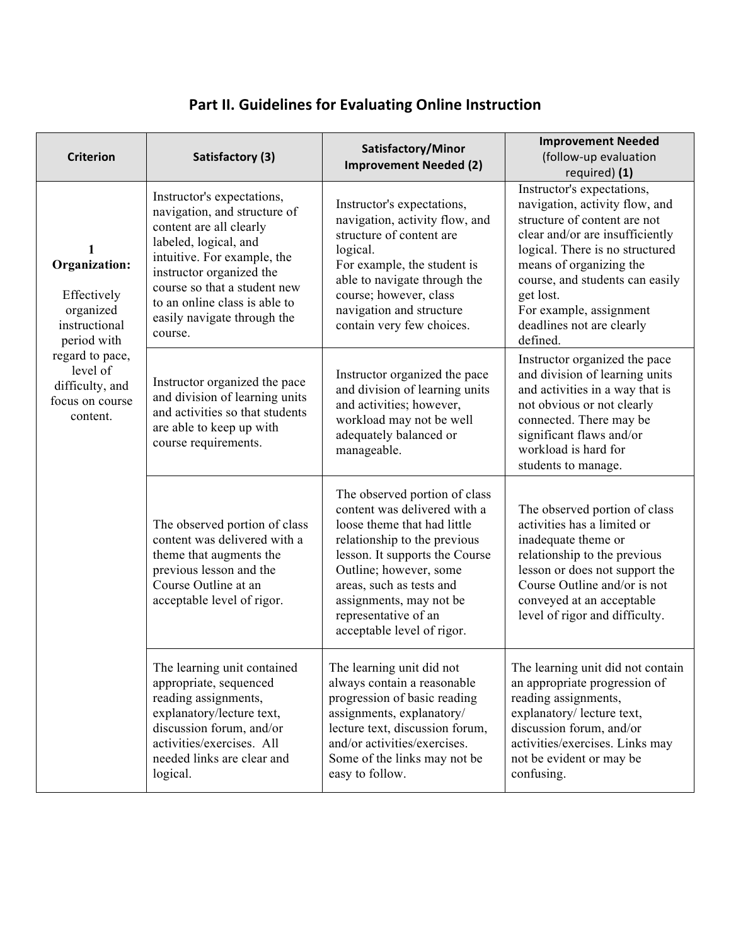# Part II. Guidelines for Evaluating Online Instruction

| <b>Criterion</b>                                                                                                                                           | Satisfactory (3)                                                                                                                                                                                                                                                                     | Satisfactory/Minor<br><b>Improvement Needed (2)</b>                                                                                                                                                                                                                                                   | <b>Improvement Needed</b><br>(follow-up evaluation<br>required) (1)                                                                                                                                                                                                                                               |
|------------------------------------------------------------------------------------------------------------------------------------------------------------|--------------------------------------------------------------------------------------------------------------------------------------------------------------------------------------------------------------------------------------------------------------------------------------|-------------------------------------------------------------------------------------------------------------------------------------------------------------------------------------------------------------------------------------------------------------------------------------------------------|-------------------------------------------------------------------------------------------------------------------------------------------------------------------------------------------------------------------------------------------------------------------------------------------------------------------|
| Organization:<br>Effectively<br>organized<br>instructional<br>period with<br>regard to pace,<br>level of<br>difficulty, and<br>focus on course<br>content. | Instructor's expectations,<br>navigation, and structure of<br>content are all clearly<br>labeled, logical, and<br>intuitive. For example, the<br>instructor organized the<br>course so that a student new<br>to an online class is able to<br>easily navigate through the<br>course. | Instructor's expectations,<br>navigation, activity flow, and<br>structure of content are<br>logical.<br>For example, the student is<br>able to navigate through the<br>course; however, class<br>navigation and structure<br>contain very few choices.                                                | Instructor's expectations,<br>navigation, activity flow, and<br>structure of content are not<br>clear and/or are insufficiently<br>logical. There is no structured<br>means of organizing the<br>course, and students can easily<br>get lost.<br>For example, assignment<br>deadlines not are clearly<br>defined. |
|                                                                                                                                                            | Instructor organized the pace<br>and division of learning units<br>and activities so that students<br>are able to keep up with<br>course requirements.                                                                                                                               | Instructor organized the pace<br>and division of learning units<br>and activities; however,<br>workload may not be well<br>adequately balanced or<br>manageable.                                                                                                                                      | Instructor organized the pace<br>and division of learning units<br>and activities in a way that is<br>not obvious or not clearly<br>connected. There may be<br>significant flaws and/or<br>workload is hard for<br>students to manage.                                                                            |
|                                                                                                                                                            | The observed portion of class<br>content was delivered with a<br>theme that augments the<br>previous lesson and the<br>Course Outline at an<br>acceptable level of rigor.                                                                                                            | The observed portion of class<br>content was delivered with a<br>loose theme that had little<br>relationship to the previous<br>lesson. It supports the Course<br>Outline; however, some<br>areas, such as tests and<br>assignments, may not be<br>representative of an<br>acceptable level of rigor. | The observed portion of class<br>activities has a limited or<br>inadequate theme or<br>relationship to the previous<br>lesson or does not support the<br>Course Outline and/or is not<br>conveyed at an acceptable<br>level of rigor and difficulty.                                                              |
|                                                                                                                                                            | The learning unit contained<br>appropriate, sequenced<br>reading assignments,<br>explanatory/lecture text,<br>discussion forum, and/or<br>activities/exercises. All<br>needed links are clear and<br>logical.                                                                        | The learning unit did not<br>always contain a reasonable<br>progression of basic reading<br>assignments, explanatory/<br>lecture text, discussion forum,<br>and/or activities/exercises.<br>Some of the links may not be<br>easy to follow.                                                           | The learning unit did not contain<br>an appropriate progression of<br>reading assignments,<br>explanatory/ lecture text,<br>discussion forum, and/or<br>activities/exercises. Links may<br>not be evident or may be<br>confusing.                                                                                 |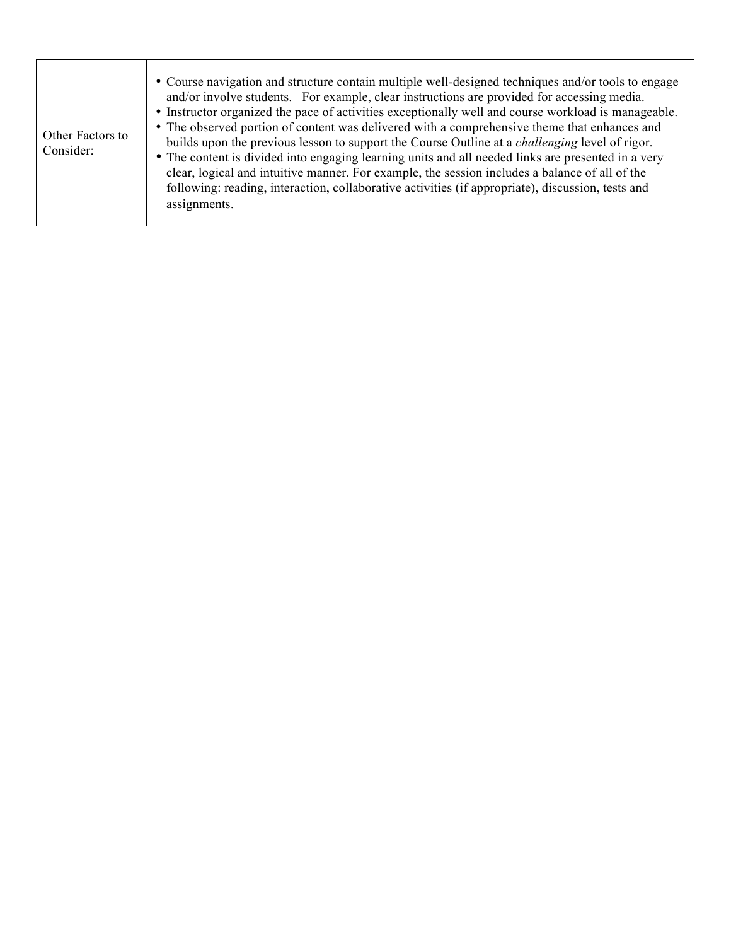| Other Factors to<br>Consider: | • Course navigation and structure contain multiple well-designed techniques and/or tools to engage<br>and/or involve students. For example, clear instructions are provided for accessing media.<br>• Instructor organized the pace of activities exceptionally well and course workload is manageable.<br>• The observed portion of content was delivered with a comprehensive theme that enhances and<br>builds upon the previous lesson to support the Course Outline at a <i>challenging</i> level of rigor.<br>• The content is divided into engaging learning units and all needed links are presented in a very<br>clear, logical and intuitive manner. For example, the session includes a balance of all of the<br>following: reading, interaction, collaborative activities (if appropriate), discussion, tests and<br>assignments. |
|-------------------------------|-----------------------------------------------------------------------------------------------------------------------------------------------------------------------------------------------------------------------------------------------------------------------------------------------------------------------------------------------------------------------------------------------------------------------------------------------------------------------------------------------------------------------------------------------------------------------------------------------------------------------------------------------------------------------------------------------------------------------------------------------------------------------------------------------------------------------------------------------|
|-------------------------------|-----------------------------------------------------------------------------------------------------------------------------------------------------------------------------------------------------------------------------------------------------------------------------------------------------------------------------------------------------------------------------------------------------------------------------------------------------------------------------------------------------------------------------------------------------------------------------------------------------------------------------------------------------------------------------------------------------------------------------------------------------------------------------------------------------------------------------------------------|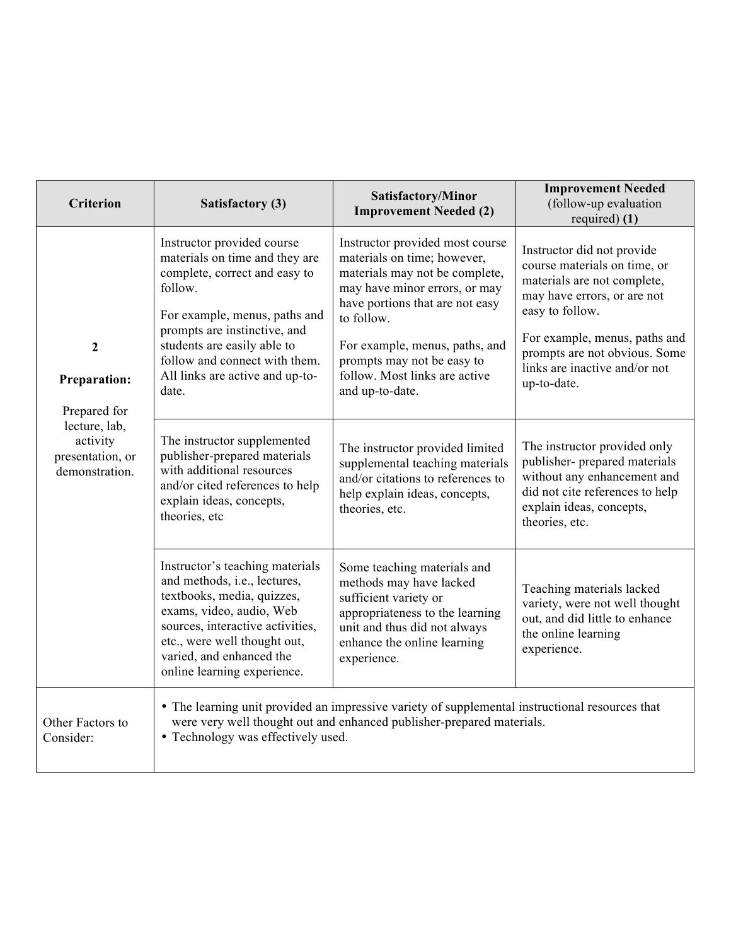| <b>Criterion</b>                                                                                                           | Satisfactory (3)                                                                                                                                                                                                                                                                      | Satisfactory/Minor<br><b>Improvement Needed (2)</b>                                                                                                                                                                                                                                                    | <b>Improvement Needed</b><br>(follow-up evaluation<br>required $(1)$                                                                                                                                                                                          |
|----------------------------------------------------------------------------------------------------------------------------|---------------------------------------------------------------------------------------------------------------------------------------------------------------------------------------------------------------------------------------------------------------------------------------|--------------------------------------------------------------------------------------------------------------------------------------------------------------------------------------------------------------------------------------------------------------------------------------------------------|---------------------------------------------------------------------------------------------------------------------------------------------------------------------------------------------------------------------------------------------------------------|
| $\boldsymbol{2}$<br><b>Preparation:</b><br>Prepared for<br>lecture, lab,<br>activity<br>presentation, or<br>demonstration. | Instructor provided course<br>materials on time and they are<br>complete, correct and easy to<br>follow.<br>For example, menus, paths and<br>prompts are instinctive, and<br>students are easily able to<br>follow and connect with them.<br>All links are active and up-to-<br>date. | Instructor provided most course<br>materials on time; however,<br>materials may not be complete,<br>may have minor errors, or may<br>have portions that are not easy<br>to follow.<br>For example, menus, paths, and<br>prompts may not be easy to<br>follow. Most links are active<br>and up-to-date. | Instructor did not provide<br>course materials on time, or<br>materials are not complete,<br>may have errors, or are not<br>easy to follow.<br>For example, menus, paths and<br>prompts are not obvious. Some<br>links are inactive and/or not<br>up-to-date. |
|                                                                                                                            | The instructor supplemented<br>publisher-prepared materials<br>with additional resources<br>and/or cited references to help<br>explain ideas, concepts,<br>theories, etc                                                                                                              | The instructor provided limited<br>supplemental teaching materials<br>and/or citations to references to<br>help explain ideas, concepts,<br>theories, etc.                                                                                                                                             | The instructor provided only<br>publisher- prepared materials<br>without any enhancement and<br>did not cite references to help<br>explain ideas, concepts,<br>theories, etc.                                                                                 |
|                                                                                                                            | Instructor's teaching materials<br>and methods, i.e., lectures,<br>textbooks, media, quizzes,<br>exams, video, audio, Web<br>sources, interactive activities,<br>etc., were well thought out,<br>varied, and enhanced the<br>online learning experience.                              | Some teaching materials and<br>methods may have lacked<br>sufficient variety or<br>appropriateness to the learning<br>unit and thus did not always<br>enhance the online learning<br>experience.                                                                                                       | Teaching materials lacked<br>variety, were not well thought<br>out, and did little to enhance<br>the online learning<br>experience.                                                                                                                           |
| Other Factors to<br>Consider:                                                                                              | • Technology was effectively used.                                                                                                                                                                                                                                                    | • The learning unit provided an impressive variety of supplemental instructional resources that<br>were very well thought out and enhanced publisher-prepared materials.                                                                                                                               |                                                                                                                                                                                                                                                               |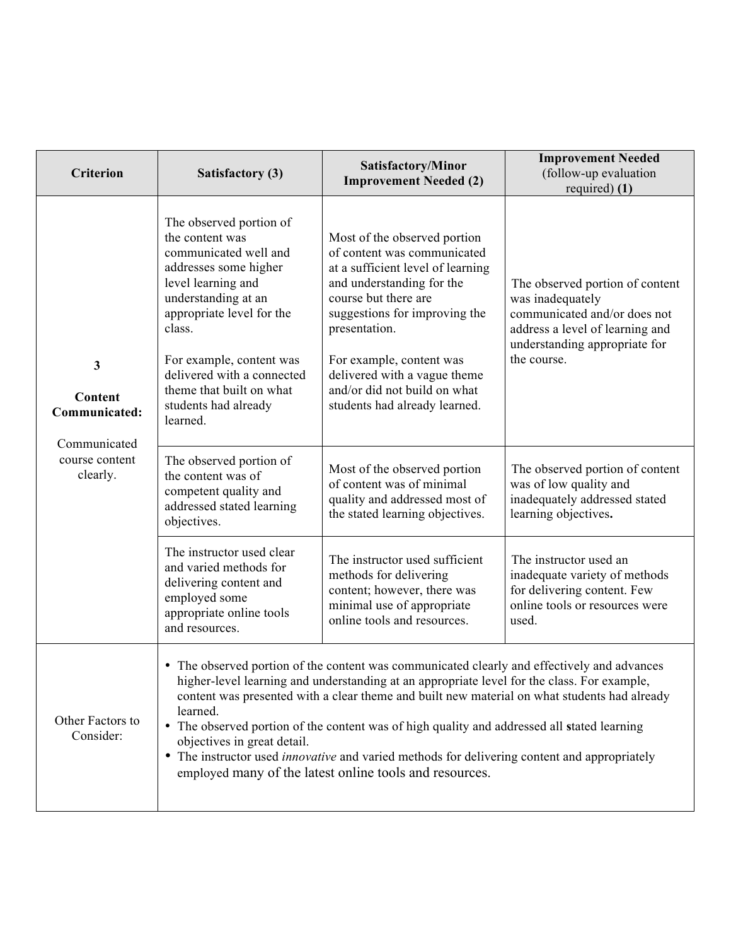| Criterion                                                | <b>Satisfactory (3)</b>                                                                                                                                                                                                                                                                                    | Satisfactory/Minor<br><b>Improvement Needed (2)</b>                                                                                                                                                                                                                                                                                                                                                                                                                                                                                                         | <b>Improvement Needed</b><br>(follow-up evaluation<br>required $(1)$                                                                                                   |
|----------------------------------------------------------|------------------------------------------------------------------------------------------------------------------------------------------------------------------------------------------------------------------------------------------------------------------------------------------------------------|-------------------------------------------------------------------------------------------------------------------------------------------------------------------------------------------------------------------------------------------------------------------------------------------------------------------------------------------------------------------------------------------------------------------------------------------------------------------------------------------------------------------------------------------------------------|------------------------------------------------------------------------------------------------------------------------------------------------------------------------|
| $\mathbf{3}$<br>Content<br>Communicated:<br>Communicated | The observed portion of<br>the content was<br>communicated well and<br>addresses some higher<br>level learning and<br>understanding at an<br>appropriate level for the<br>class.<br>For example, content was<br>delivered with a connected<br>theme that built on what<br>students had already<br>learned. | Most of the observed portion<br>of content was communicated<br>at a sufficient level of learning<br>and understanding for the<br>course but there are<br>suggestions for improving the<br>presentation.<br>For example, content was<br>delivered with a vague theme<br>and/or did not build on what<br>students had already learned.                                                                                                                                                                                                                        | The observed portion of content<br>was inadequately<br>communicated and/or does not<br>address a level of learning and<br>understanding appropriate for<br>the course. |
| course content<br>clearly.                               | The observed portion of<br>the content was of<br>competent quality and<br>addressed stated learning<br>objectives.                                                                                                                                                                                         | Most of the observed portion<br>of content was of minimal<br>quality and addressed most of<br>the stated learning objectives.                                                                                                                                                                                                                                                                                                                                                                                                                               | The observed portion of content<br>was of low quality and<br>inadequately addressed stated<br>learning objectives.                                                     |
|                                                          | The instructor used clear<br>and varied methods for<br>delivering content and<br>employed some<br>appropriate online tools<br>and resources.                                                                                                                                                               | The instructor used sufficient<br>methods for delivering<br>content; however, there was<br>minimal use of appropriate<br>online tools and resources.                                                                                                                                                                                                                                                                                                                                                                                                        | The instructor used an<br>inadequate variety of methods<br>for delivering content. Few<br>online tools or resources were<br>used.                                      |
| Other Factors to<br>Consider:                            | learned.<br>objectives in great detail.                                                                                                                                                                                                                                                                    | • The observed portion of the content was communicated clearly and effectively and advances<br>higher-level learning and understanding at an appropriate level for the class. For example,<br>content was presented with a clear theme and built new material on what students had already<br>• The observed portion of the content was of high quality and addressed all stated learning<br>• The instructor used <i>innovative</i> and varied methods for delivering content and appropriately<br>employed many of the latest online tools and resources. |                                                                                                                                                                        |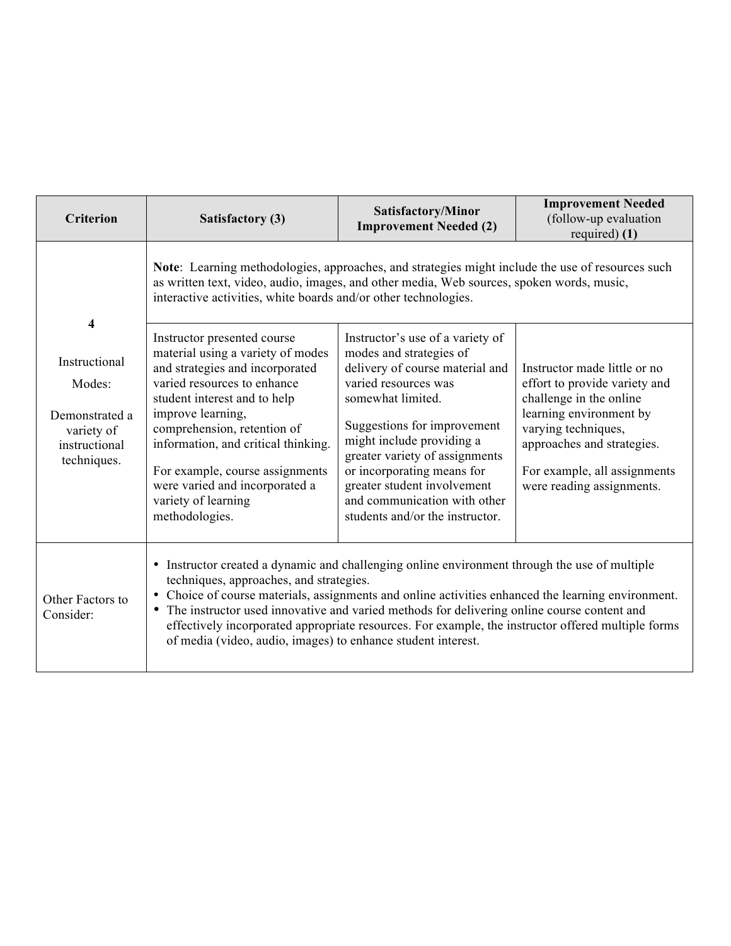| <b>Criterion</b>                                                                             | <b>Satisfactory (3)</b>                                                                                                                                                                                                                                                                                                                                                                                        | Satisfactory/Minor<br><b>Improvement Needed (2)</b>                                                                                                                                                                                                                                                                                                                       | <b>Improvement Needed</b><br>(follow-up evaluation<br>required) (1)                                                                                                                                                                   |
|----------------------------------------------------------------------------------------------|----------------------------------------------------------------------------------------------------------------------------------------------------------------------------------------------------------------------------------------------------------------------------------------------------------------------------------------------------------------------------------------------------------------|---------------------------------------------------------------------------------------------------------------------------------------------------------------------------------------------------------------------------------------------------------------------------------------------------------------------------------------------------------------------------|---------------------------------------------------------------------------------------------------------------------------------------------------------------------------------------------------------------------------------------|
|                                                                                              | Note: Learning methodologies, approaches, and strategies might include the use of resources such<br>as written text, video, audio, images, and other media, Web sources, spoken words, music,<br>interactive activities, white boards and/or other technologies.                                                                                                                                               |                                                                                                                                                                                                                                                                                                                                                                           |                                                                                                                                                                                                                                       |
| 4<br>Instructional<br>Modes:<br>Demonstrated a<br>variety of<br>instructional<br>techniques. | Instructor presented course<br>material using a variety of modes<br>and strategies and incorporated<br>varied resources to enhance<br>student interest and to help<br>improve learning,<br>comprehension, retention of<br>information, and critical thinking.<br>For example, course assignments<br>were varied and incorporated a<br>variety of learning<br>methodologies.                                    | Instructor's use of a variety of<br>modes and strategies of<br>delivery of course material and<br>varied resources was<br>somewhat limited.<br>Suggestions for improvement<br>might include providing a<br>greater variety of assignments<br>or incorporating means for<br>greater student involvement<br>and communication with other<br>students and/or the instructor. | Instructor made little or no<br>effort to provide variety and<br>challenge in the online<br>learning environment by<br>varying techniques,<br>approaches and strategies.<br>For example, all assignments<br>were reading assignments. |
| Other Factors to<br>Consider:                                                                | • Instructor created a dynamic and challenging online environment through the use of multiple<br>techniques, approaches, and strategies.<br>• Choice of course materials, assignments and online activities enhanced the learning environment.<br>• The instructor used innovative and varied methods for delivering online course content and<br>of media (video, audio, images) to enhance student interest. | effectively incorporated appropriate resources. For example, the instructor offered multiple forms                                                                                                                                                                                                                                                                        |                                                                                                                                                                                                                                       |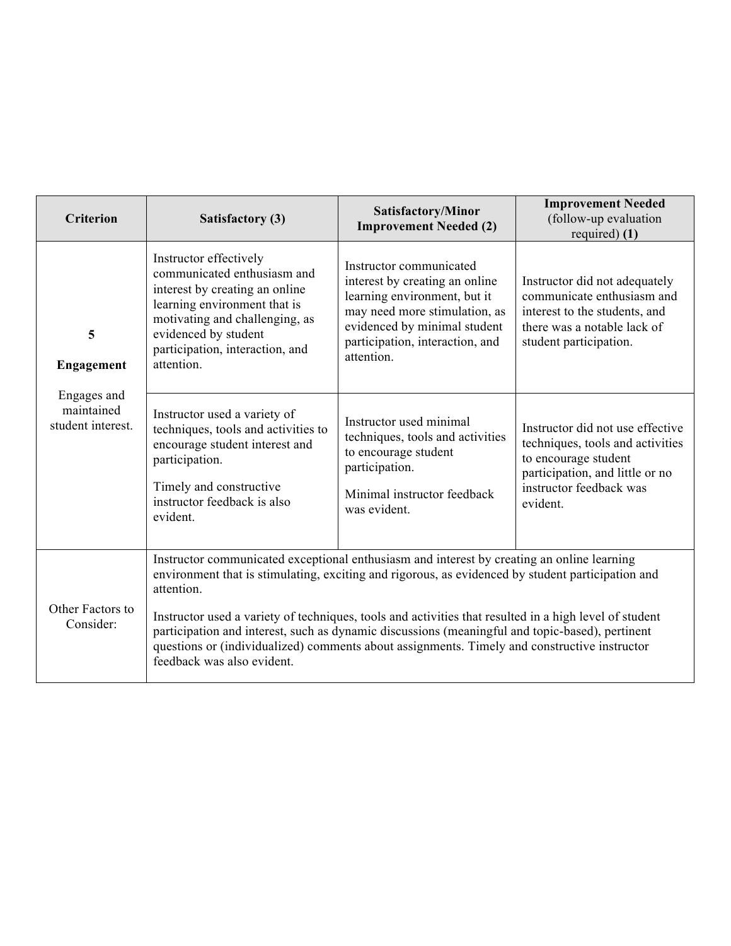| <b>Criterion</b>                               | Satisfactory (3)                                                                                                                                                                                                                                                                                                                                                                                                                                                                                                                                         | Satisfactory/Minor<br><b>Improvement Needed (2)</b>                                                                                                                                                         | <b>Improvement Needed</b><br>(follow-up evaluation<br>required $(1)$                                                                                                   |
|------------------------------------------------|----------------------------------------------------------------------------------------------------------------------------------------------------------------------------------------------------------------------------------------------------------------------------------------------------------------------------------------------------------------------------------------------------------------------------------------------------------------------------------------------------------------------------------------------------------|-------------------------------------------------------------------------------------------------------------------------------------------------------------------------------------------------------------|------------------------------------------------------------------------------------------------------------------------------------------------------------------------|
| 5<br>Engagement                                | Instructor effectively<br>communicated enthusiasm and<br>interest by creating an online<br>learning environment that is<br>motivating and challenging, as<br>evidenced by student<br>participation, interaction, and<br>attention.                                                                                                                                                                                                                                                                                                                       | Instructor communicated<br>interest by creating an online<br>learning environment, but it<br>may need more stimulation, as<br>evidenced by minimal student<br>participation, interaction, and<br>attention. | Instructor did not adequately<br>communicate enthusiasm and<br>interest to the students, and<br>there was a notable lack of<br>student participation.                  |
| Engages and<br>maintained<br>student interest. | Instructor used a variety of<br>techniques, tools and activities to<br>encourage student interest and<br>participation.<br>Timely and constructive<br>instructor feedback is also<br>evident.                                                                                                                                                                                                                                                                                                                                                            | Instructor used minimal<br>techniques, tools and activities<br>to encourage student<br>participation.<br>Minimal instructor feedback<br>was evident.                                                        | Instructor did not use effective<br>techniques, tools and activities<br>to encourage student<br>participation, and little or no<br>instructor feedback was<br>evident. |
| Other Factors to<br>Consider:                  | Instructor communicated exceptional enthusiasm and interest by creating an online learning<br>environment that is stimulating, exciting and rigorous, as evidenced by student participation and<br>attention.<br>Instructor used a variety of techniques, tools and activities that resulted in a high level of student<br>participation and interest, such as dynamic discussions (meaningful and topic-based), pertinent<br>questions or (individualized) comments about assignments. Timely and constructive instructor<br>feedback was also evident. |                                                                                                                                                                                                             |                                                                                                                                                                        |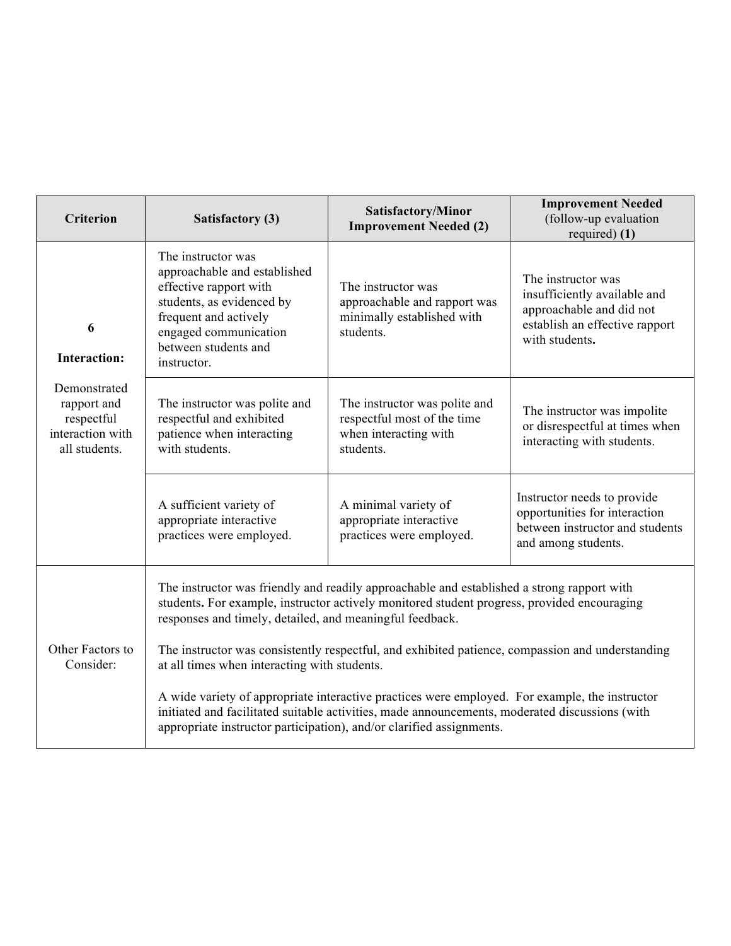| <b>Criterion</b>                                                               | Satisfactory (3)                                                                                                                                                                                   | Satisfactory/Minor<br><b>Improvement Needed (2)</b>                                                                                                                                                                                                                      | <b>Improvement Needed</b><br>(follow-up evaluation<br>required $(1)$                                                               |
|--------------------------------------------------------------------------------|----------------------------------------------------------------------------------------------------------------------------------------------------------------------------------------------------|--------------------------------------------------------------------------------------------------------------------------------------------------------------------------------------------------------------------------------------------------------------------------|------------------------------------------------------------------------------------------------------------------------------------|
| 6<br><b>Interaction:</b>                                                       | The instructor was<br>approachable and established<br>effective rapport with<br>students, as evidenced by<br>frequent and actively<br>engaged communication<br>between students and<br>instructor. | The instructor was<br>approachable and rapport was<br>minimally established with<br>students.                                                                                                                                                                            | The instructor was<br>insufficiently available and<br>approachable and did not<br>establish an effective rapport<br>with students. |
| Demonstrated<br>rapport and<br>respectful<br>interaction with<br>all students. | The instructor was polite and<br>respectful and exhibited<br>patience when interacting<br>with students.                                                                                           | The instructor was polite and<br>respectful most of the time<br>when interacting with<br>students.                                                                                                                                                                       | The instructor was impolite<br>or disrespectful at times when<br>interacting with students.                                        |
|                                                                                | A sufficient variety of<br>appropriate interactive<br>practices were employed.                                                                                                                     | A minimal variety of<br>appropriate interactive<br>practices were employed.                                                                                                                                                                                              | Instructor needs to provide<br>opportunities for interaction<br>between instructor and students<br>and among students.             |
|                                                                                | responses and timely, detailed, and meaningful feedback.                                                                                                                                           | The instructor was friendly and readily approachable and established a strong rapport with<br>students. For example, instructor actively monitored student progress, provided encouraging                                                                                |                                                                                                                                    |
| Other Factors to<br>Consider:                                                  |                                                                                                                                                                                                    | The instructor was consistently respectful, and exhibited patience, compassion and understanding<br>at all times when interacting with students.                                                                                                                         |                                                                                                                                    |
|                                                                                |                                                                                                                                                                                                    | A wide variety of appropriate interactive practices were employed. For example, the instructor<br>initiated and facilitated suitable activities, made announcements, moderated discussions (with<br>appropriate instructor participation), and/or clarified assignments. |                                                                                                                                    |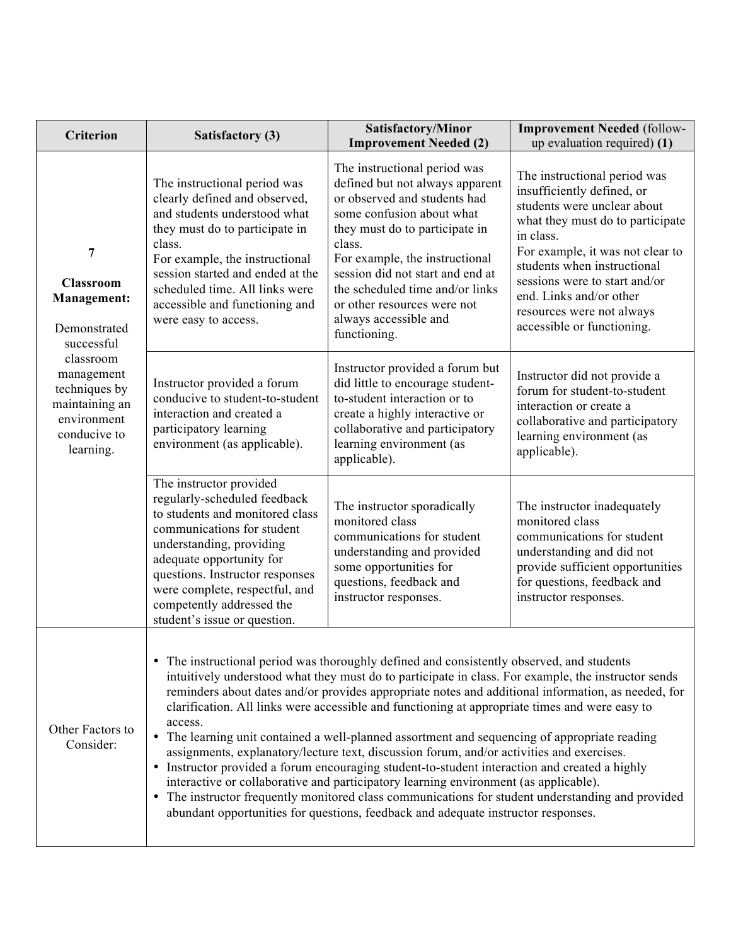| <b>Criterion</b>                                                                                                                                                                    | <b>Satisfactory (3)</b>                                                                                                                                                                                                                                                                                            | Satisfactory/Minor<br><b>Improvement Needed (2)</b>                                                                                                                                                                                                                                                                                                                                                                                                                                                                                                                                                                                                                                                                                                                                                                                                                                                                                                                                       | <b>Improvement Needed (follow-</b><br>up evaluation required) (1)                                                                                                                                                                                                                                                                    |
|-------------------------------------------------------------------------------------------------------------------------------------------------------------------------------------|--------------------------------------------------------------------------------------------------------------------------------------------------------------------------------------------------------------------------------------------------------------------------------------------------------------------|-------------------------------------------------------------------------------------------------------------------------------------------------------------------------------------------------------------------------------------------------------------------------------------------------------------------------------------------------------------------------------------------------------------------------------------------------------------------------------------------------------------------------------------------------------------------------------------------------------------------------------------------------------------------------------------------------------------------------------------------------------------------------------------------------------------------------------------------------------------------------------------------------------------------------------------------------------------------------------------------|--------------------------------------------------------------------------------------------------------------------------------------------------------------------------------------------------------------------------------------------------------------------------------------------------------------------------------------|
| 7<br><b>Classroom</b><br><b>Management:</b><br>Demonstrated<br>successful<br>classroom<br>management<br>techniques by<br>maintaining an<br>environment<br>conducive to<br>learning. | The instructional period was<br>clearly defined and observed,<br>and students understood what<br>they must do to participate in<br>class.<br>For example, the instructional<br>session started and ended at the<br>scheduled time. All links were<br>accessible and functioning and<br>were easy to access.        | The instructional period was<br>defined but not always apparent<br>or observed and students had<br>some confusion about what<br>they must do to participate in<br>class.<br>For example, the instructional<br>session did not start and end at<br>the scheduled time and/or links<br>or other resources were not<br>always accessible and<br>functioning.                                                                                                                                                                                                                                                                                                                                                                                                                                                                                                                                                                                                                                 | The instructional period was<br>insufficiently defined, or<br>students were unclear about<br>what they must do to participate<br>in class.<br>For example, it was not clear to<br>students when instructional<br>sessions were to start and/or<br>end. Links and/or other<br>resources were not always<br>accessible or functioning. |
|                                                                                                                                                                                     | Instructor provided a forum<br>conducive to student-to-student<br>interaction and created a<br>participatory learning<br>environment (as applicable).                                                                                                                                                              | Instructor provided a forum but<br>did little to encourage student-<br>to-student interaction or to<br>create a highly interactive or<br>collaborative and participatory<br>learning environment (as<br>applicable).                                                                                                                                                                                                                                                                                                                                                                                                                                                                                                                                                                                                                                                                                                                                                                      | Instructor did not provide a<br>forum for student-to-student<br>interaction or create a<br>collaborative and participatory<br>learning environment (as<br>applicable).                                                                                                                                                               |
|                                                                                                                                                                                     | The instructor provided<br>regularly-scheduled feedback<br>to students and monitored class<br>communications for student<br>understanding, providing<br>adequate opportunity for<br>questions. Instructor responses<br>were complete, respectful, and<br>competently addressed the<br>student's issue or question. | The instructor sporadically<br>monitored class<br>communications for student<br>understanding and provided<br>some opportunities for<br>questions, feedback and<br>instructor responses.                                                                                                                                                                                                                                                                                                                                                                                                                                                                                                                                                                                                                                                                                                                                                                                                  | The instructor inadequately<br>monitored class<br>communications for student<br>understanding and did not<br>provide sufficient opportunities<br>for questions, feedback and<br>instructor responses.                                                                                                                                |
| Other Factors to<br>Consider:                                                                                                                                                       | access.                                                                                                                                                                                                                                                                                                            | • The instructional period was thoroughly defined and consistently observed, and students<br>intuitively understood what they must do to participate in class. For example, the instructor sends<br>reminders about dates and/or provides appropriate notes and additional information, as needed, for<br>clarification. All links were accessible and functioning at appropriate times and were easy to<br>• The learning unit contained a well-planned assortment and sequencing of appropriate reading<br>assignments, explanatory/lecture text, discussion forum, and/or activities and exercises.<br>• Instructor provided a forum encouraging student-to-student interaction and created a highly<br>interactive or collaborative and participatory learning environment (as applicable).<br>• The instructor frequently monitored class communications for student understanding and provided<br>abundant opportunities for questions, feedback and adequate instructor responses. |                                                                                                                                                                                                                                                                                                                                      |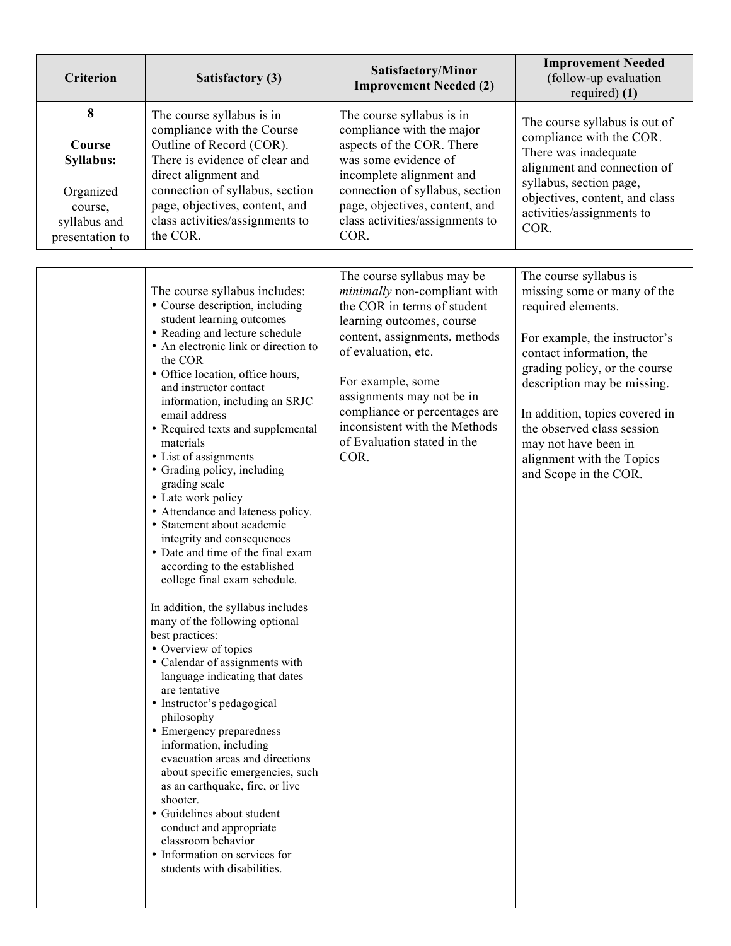| <b>Criterion</b>                                                                    | Satisfactory (3)                                                                                                                                                                                                                                                                                                                                                                                                                                                                                                                                                                                                                                                                                                                                                                                                                                                                                                                                                                                                                                                                                                                                                                                                                          | Satisfactory/Minor<br><b>Improvement Needed (2)</b>                                                                                                                                                                                                                                                                                       | <b>Improvement Needed</b><br>(follow-up evaluation<br>required $(1)$                                                                                                                                                                                                                                                                                   |
|-------------------------------------------------------------------------------------|-------------------------------------------------------------------------------------------------------------------------------------------------------------------------------------------------------------------------------------------------------------------------------------------------------------------------------------------------------------------------------------------------------------------------------------------------------------------------------------------------------------------------------------------------------------------------------------------------------------------------------------------------------------------------------------------------------------------------------------------------------------------------------------------------------------------------------------------------------------------------------------------------------------------------------------------------------------------------------------------------------------------------------------------------------------------------------------------------------------------------------------------------------------------------------------------------------------------------------------------|-------------------------------------------------------------------------------------------------------------------------------------------------------------------------------------------------------------------------------------------------------------------------------------------------------------------------------------------|--------------------------------------------------------------------------------------------------------------------------------------------------------------------------------------------------------------------------------------------------------------------------------------------------------------------------------------------------------|
| 8<br>Course<br>Syllabus:<br>Organized<br>course,<br>syllabus and<br>presentation to | The course syllabus is in<br>compliance with the Course<br>Outline of Record (COR).<br>There is evidence of clear and<br>direct alignment and<br>connection of syllabus, section<br>page, objectives, content, and<br>class activities/assignments to<br>the COR.                                                                                                                                                                                                                                                                                                                                                                                                                                                                                                                                                                                                                                                                                                                                                                                                                                                                                                                                                                         | The course syllabus is in<br>compliance with the major<br>aspects of the COR. There<br>was some evidence of<br>incomplete alignment and<br>connection of syllabus, section<br>page, objectives, content, and<br>class activities/assignments to<br>COR.                                                                                   | The course syllabus is out of<br>compliance with the COR.<br>There was inadequate<br>alignment and connection of<br>syllabus, section page,<br>objectives, content, and class<br>activities/assignments to<br>COR.                                                                                                                                     |
|                                                                                     | The course syllabus includes:<br>• Course description, including<br>student learning outcomes<br>• Reading and lecture schedule<br>• An electronic link or direction to<br>the COR<br>• Office location, office hours,<br>and instructor contact<br>information, including an SRJC<br>email address<br>• Required texts and supplemental<br>materials<br>• List of assignments<br>• Grading policy, including<br>grading scale<br>• Late work policy<br>• Attendance and lateness policy.<br>· Statement about academic<br>integrity and consequences<br>• Date and time of the final exam<br>according to the established<br>college final exam schedule.<br>In addition, the syllabus includes<br>many of the following optional<br>best practices:<br>• Overview of topics<br>• Calendar of assignments with<br>language indicating that dates<br>are tentative<br>• Instructor's pedagogical<br>philosophy<br>• Emergency preparedness<br>information, including<br>evacuation areas and directions<br>about specific emergencies, such<br>as an earthquake, fire, or live<br>shooter.<br>• Guidelines about student<br>conduct and appropriate<br>classroom behavior<br>• Information on services for<br>students with disabilities. | The course syllabus may be<br>minimally non-compliant with<br>the COR in terms of student<br>learning outcomes, course<br>content, assignments, methods<br>of evaluation, etc.<br>For example, some<br>assignments may not be in<br>compliance or percentages are<br>inconsistent with the Methods<br>of Evaluation stated in the<br>COR. | The course syllabus is<br>missing some or many of the<br>required elements.<br>For example, the instructor's<br>contact information, the<br>grading policy, or the course<br>description may be missing.<br>In addition, topics covered in<br>the observed class session<br>may not have been in<br>alignment with the Topics<br>and Scope in the COR. |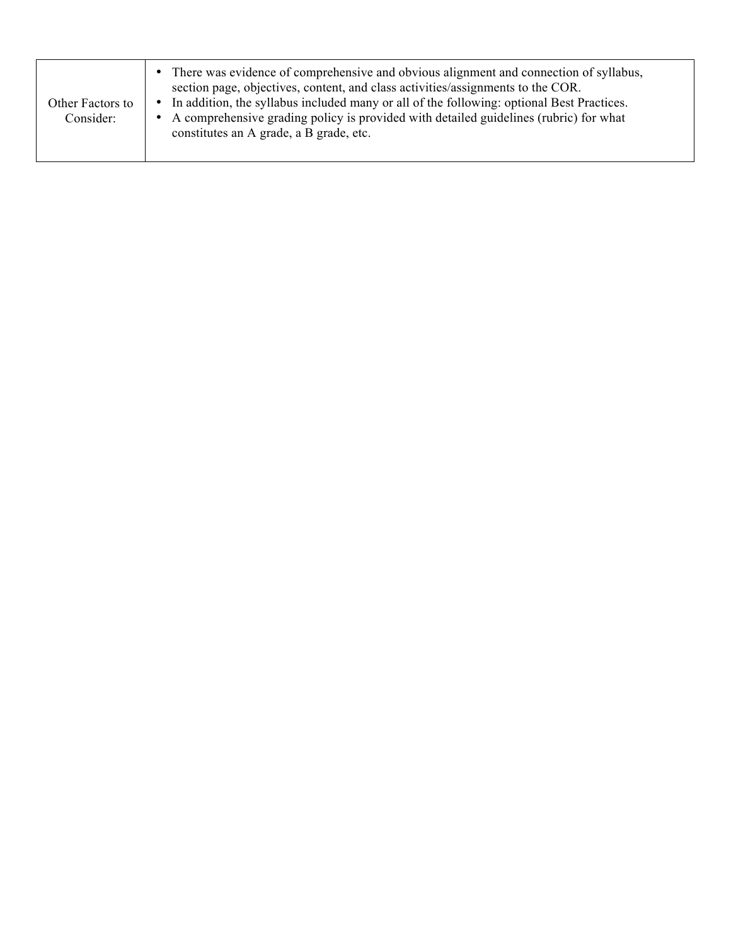| Other Factors to<br>Consider: | • There was evidence of comprehensive and obvious alignment and connection of syllabus,<br>section page, objectives, content, and class activities/assignments to the COR.<br>In addition, the syllabus included many or all of the following: optional Best Practices.<br>A comprehensive grading policy is provided with detailed guidelines (rubric) for what<br>constitutes an A grade, a B grade, etc. |
|-------------------------------|-------------------------------------------------------------------------------------------------------------------------------------------------------------------------------------------------------------------------------------------------------------------------------------------------------------------------------------------------------------------------------------------------------------|
|-------------------------------|-------------------------------------------------------------------------------------------------------------------------------------------------------------------------------------------------------------------------------------------------------------------------------------------------------------------------------------------------------------------------------------------------------------|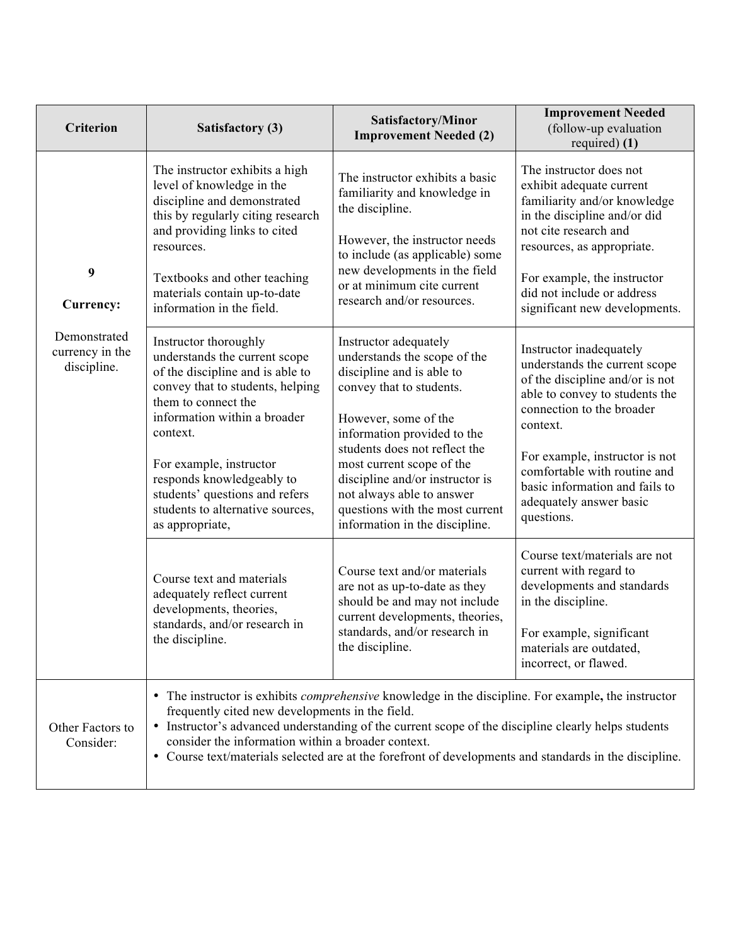| <b>Criterion</b>                               | Satisfactory (3)                                                                                                                                                                                                                                                                                                                                   | Satisfactory/Minor<br><b>Improvement Needed (2)</b>                                                                                                                                                                                                                                                                                                                      | <b>Improvement Needed</b><br>(follow-up evaluation<br>required $(1)$                                                                                                                                                                                                                                                |
|------------------------------------------------|----------------------------------------------------------------------------------------------------------------------------------------------------------------------------------------------------------------------------------------------------------------------------------------------------------------------------------------------------|--------------------------------------------------------------------------------------------------------------------------------------------------------------------------------------------------------------------------------------------------------------------------------------------------------------------------------------------------------------------------|---------------------------------------------------------------------------------------------------------------------------------------------------------------------------------------------------------------------------------------------------------------------------------------------------------------------|
| 9<br>Currency:                                 | The instructor exhibits a high<br>level of knowledge in the<br>discipline and demonstrated<br>this by regularly citing research<br>and providing links to cited<br>resources.<br>Textbooks and other teaching<br>materials contain up-to-date<br>information in the field.                                                                         | The instructor exhibits a basic<br>familiarity and knowledge in<br>the discipline.<br>However, the instructor needs<br>to include (as applicable) some<br>new developments in the field<br>or at minimum cite current<br>research and/or resources.                                                                                                                      | The instructor does not<br>exhibit adequate current<br>familiarity and/or knowledge<br>in the discipline and/or did<br>not cite research and<br>resources, as appropriate.<br>For example, the instructor<br>did not include or address<br>significant new developments.                                            |
| Demonstrated<br>currency in the<br>discipline. | Instructor thoroughly<br>understands the current scope<br>of the discipline and is able to<br>convey that to students, helping<br>them to connect the<br>information within a broader<br>context.<br>For example, instructor<br>responds knowledgeably to<br>students' questions and refers<br>students to alternative sources,<br>as appropriate, | Instructor adequately<br>understands the scope of the<br>discipline and is able to<br>convey that to students.<br>However, some of the<br>information provided to the<br>students does not reflect the<br>most current scope of the<br>discipline and/or instructor is<br>not always able to answer<br>questions with the most current<br>information in the discipline. | Instructor inadequately<br>understands the current scope<br>of the discipline and/or is not<br>able to convey to students the<br>connection to the broader<br>context.<br>For example, instructor is not<br>comfortable with routine and<br>basic information and fails to<br>adequately answer basic<br>questions. |
|                                                | Course text and materials<br>adequately reflect current<br>developments, theories,<br>standards, and/or research in<br>the discipline.                                                                                                                                                                                                             | Course text and/or materials<br>are not as up-to-date as they<br>should be and may not include<br>current developments, theories,<br>standards, and/or research in<br>the discipline.                                                                                                                                                                                    | Course text/materials are not<br>current with regard to<br>developments and standards<br>in the discipline.<br>For example, significant<br>materials are outdated,<br>incorrect, or flawed.                                                                                                                         |
| Other Factors to<br>Consider:                  | frequently cited new developments in the field.<br>consider the information within a broader context.                                                                                                                                                                                                                                              | • The instructor is exhibits <i>comprehensive</i> knowledge in the discipline. For example, the instructor<br>• Instructor's advanced understanding of the current scope of the discipline clearly helps students<br>• Course text/materials selected are at the forefront of developments and standards in the discipline.                                              |                                                                                                                                                                                                                                                                                                                     |